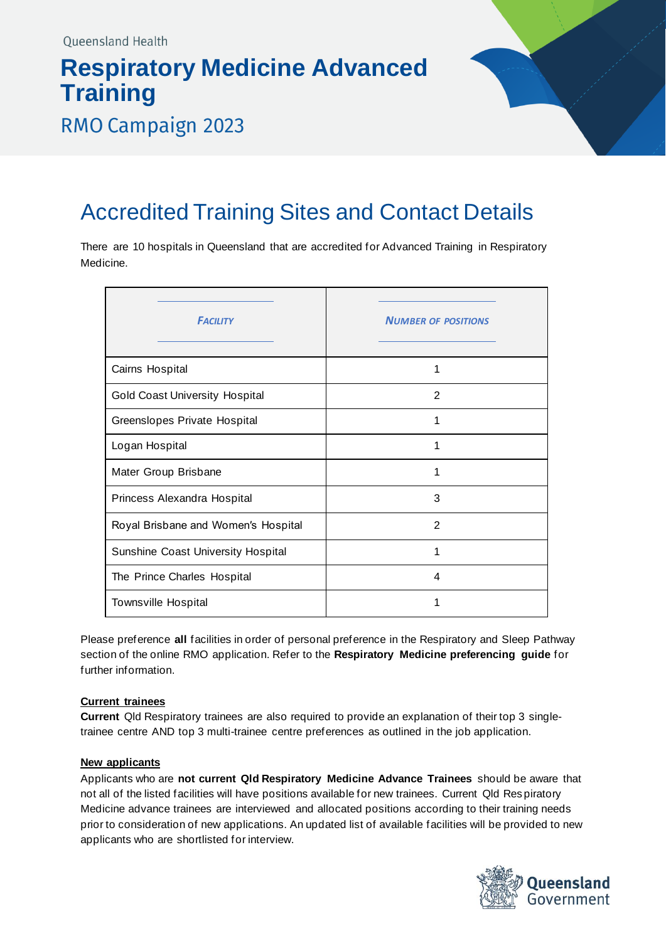# **Respiratory Medicine Advanced Training**



### **RMO Campaign 2023**

## Accredited Training Sites and Contact Details

There are 10 hospitals in Queensland that are accredited for Advanced Training in Respiratory Medicine.

| <b>FACILITY</b>                       | <b>NUMBER OF POSITIONS</b> |
|---------------------------------------|----------------------------|
| Cairns Hospital                       |                            |
| <b>Gold Coast University Hospital</b> | 2                          |
| Greenslopes Private Hospital          | 1                          |
| Logan Hospital                        | 1                          |
| Mater Group Brisbane                  | 1                          |
| Princess Alexandra Hospital           | 3                          |
| Royal Brisbane and Women's Hospital   | 2                          |
| Sunshine Coast University Hospital    | 1                          |
| The Prince Charles Hospital           | 4                          |
| <b>Townsville Hospital</b>            | 1                          |

Please preference **all** facilities in order of personal preference in the Respiratory and Sleep Pathway section of the online RMO application. Refer to the **Respiratory Medicine preferencing guide** for further information.

#### **Current trainees**

**Current** Qld Respiratory trainees are also required to provide an explanation of their top 3 singletrainee centre AND top 3 multi-trainee centre preferences as outlined in the job application.

#### **New applicants**

Applicants who are **not current Qld Respiratory Medicine Advance Trainees** should be aware that not all of the listed facilities will have positions available for new trainees. Current Qld Res piratory Medicine advance trainees are interviewed and allocated positions according to their training needs prior to consideration of new applications. An updated list of available facilities will be provided to new applicants who are shortlisted for interview.